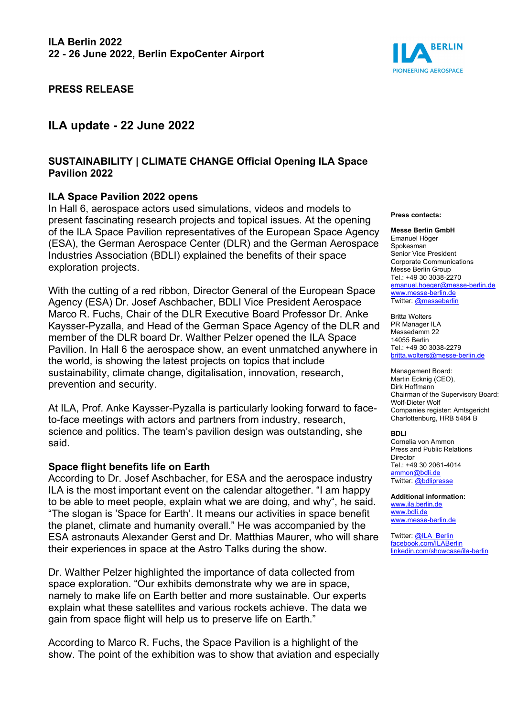

# **PRESS RELEASE**

# **ILA update - 22 June 2022**

### **SUSTAINABILITY | CLIMATE CHANGE Official Opening ILA Space Pavilion 2022**

### **ILA Space Pavilion 2022 opens**

In Hall 6, aerospace actors used simulations, videos and models to present fascinating research projects and topical issues. At the opening of the ILA Space Pavilion representatives of the European Space Agency (ESA), the German Aerospace Center (DLR) and the German Aerospace Industries Association (BDLI) explained the benefits of their space exploration projects.

With the cutting of a red ribbon, Director General of the European Space Agency (ESA) Dr. Josef Aschbacher, BDLI Vice President Aerospace Marco R. Fuchs, Chair of the DLR Executive Board Professor Dr. Anke Kaysser-Pyzalla, and Head of the German Space Agency of the DLR and member of the DLR board Dr. Walther Pelzer opened the ILA Space Pavilion. In Hall 6 the aerospace show, an event unmatched anywhere in the world, is showing the latest projects on topics that include sustainability, climate change, digitalisation, innovation, research, prevention and security.

At ILA, Prof. Anke Kaysser-Pyzalla is particularly looking forward to faceto-face meetings with actors and partners from industry, research, science and politics. The team's pavilion design was outstanding, she said.

#### **Space flight benefits life on Earth**

According to Dr. Josef Aschbacher, for ESA and the aerospace industry ILA is the most important event on the calendar altogether. "I am happy to be able to meet people, explain what we are doing, and why", he said. "The slogan is 'Space for Earth'. It means our activities in space benefit the planet, climate and humanity overall." He was accompanied by the ESA astronauts Alexander Gerst and Dr. Matthias Maurer, who will share their experiences in space at the Astro Talks during the show.

Dr. Walther Pelzer highlighted the importance of data collected from space exploration. "Our exhibits demonstrate why we are in space, namely to make life on Earth better and more sustainable. Our experts explain what these satellites and various rockets achieve. The data we gain from space flight will help us to preserve life on Earth."

According to Marco R. Fuchs, the Space Pavilion is a highlight of the show. The point of the exhibition was to show that aviation and especially

#### **Press contacts:**

#### **Messe Berlin GmbH**

Emanuel Höger Spokesman Senior Vice President Corporate Communications Messe Berlin Group Tel.: +49 30 3038-2270 [emanuel.hoeger@messe-berlin.de](mailto:emanuel.hoeger@messe-berlin.de) [www.messe-berlin.de](http://www.messe-berlin.de/) Twitter[: @messeberlin](https://twitter.com/messeberlin)

Britta Wolters PR Manager ILA Messedamm 22 14055 Berlin Tel.: +49 30 3038-2279 [britta.wolters@messe-berlin.de](mailto:britta.wolters@messe-berlin.de)

Management Board: Martin Ecknig (CEO), Dirk Hoffmann Chairman of the Supervisory Board: Wolf-Dieter Wolf Companies register: Amtsgericht Charlottenburg, HRB 5484 B

#### **BDLI**

Cornelia von Ammon Press and Public Relations Director Tel.: +49 30 2061-4014 [ammon@bdli.de](mailto:ammon@bdli.de) Twitter[: @bdlipresse](https://twitter.com/bdlipresse?lang=de)

**Additional information:** [www.ila.berlin.de](http://www.ila.berlin.de/) [www.bdli.de](http://www.bdli.de/) [www.messe-berlin.de](http://www.messe-berlin.de/)

Twitter[: @ILA\\_Berlin](https://twitter.com/ila_berlin?lang=de) [facebook.com/ILABerlin](file:///C:%5CUsers%5CWoiton.Sandra%5CAppData%5CLocal%5CMicrosoft%5CWindows%5Cammon%5CAppData%5CLocal%5CUsers%5CFrankeC%5CAppData%5CLocal%5CMicrosoft%5CWindows%5CINetCache%5CContent.Outlook%5CAppData%5CLocal%5CMicrosoft%5CWindows%5CINetCache%5CContent.Outlook%5CAppData%5CLocal%5CMicrosoft%5CWindows%5CINetCache%5CContent.Outlook%5CNIXZO984%5Cfacebook.com%5CILABerlin%0bhttps:%5Cwww.linkedin.com%5Cshowcase%5Cila-berlin)  [linkedin.com/showcase/ila-berlin](https://www.linkedin.com/showcase/ila-berlin)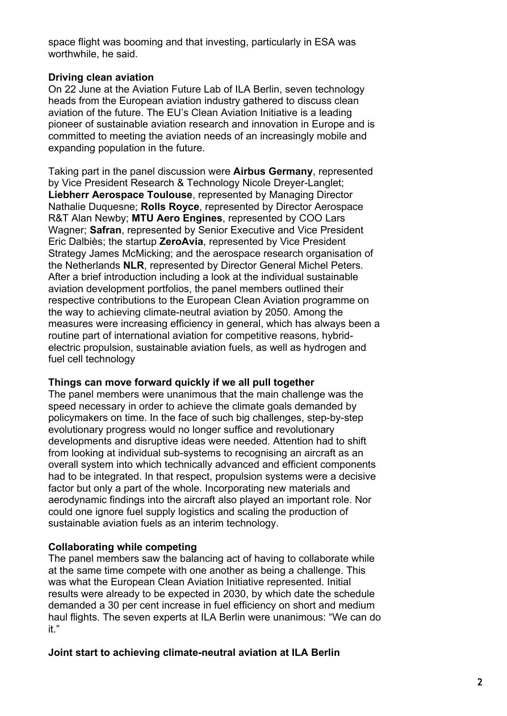space flight was booming and that investing, particularly in ESA was worthwhile, he said.

# **Driving clean aviation**

On 22 June at the Aviation Future Lab of ILA Berlin, seven technology heads from the European aviation industry gathered to discuss clean aviation of the future. The EU's Clean Aviation Initiative is a leading pioneer of sustainable aviation research and innovation in Europe and is committed to meeting the aviation needs of an increasingly mobile and expanding population in the future.

Taking part in the panel discussion were **Airbus Germany**, represented by Vice President Research & Technology Nicole Dreyer-Langlet; **Liebherr Aerospace Toulouse**, represented by Managing Director Nathalie Duquesne; **Rolls Royce**, represented by Director Aerospace R&T Alan Newby; **MTU Aero Engines**, represented by COO Lars Wagner; **Safran**, represented by Senior Executive and Vice President Eric Dalbiès; the startup **ZeroAvia**, represented by Vice President Strategy James McMicking; and the aerospace research organisation of the Netherlands **NLR**, represented by Director General Michel Peters. After a brief introduction including a look at the individual sustainable aviation development portfolios, the panel members outlined their respective contributions to the European Clean Aviation programme on the way to achieving climate-neutral aviation by 2050. Among the measures were increasing efficiency in general, which has always been a routine part of international aviation for competitive reasons, hybridelectric propulsion, sustainable aviation fuels, as well as hydrogen and fuel cell technology

# **Things can move forward quickly if we all pull together**

The panel members were unanimous that the main challenge was the speed necessary in order to achieve the climate goals demanded by policymakers on time. In the face of such big challenges, step-by-step evolutionary progress would no longer suffice and revolutionary developments and disruptive ideas were needed. Attention had to shift from looking at individual sub-systems to recognising an aircraft as an overall system into which technically advanced and efficient components had to be integrated. In that respect, propulsion systems were a decisive factor but only a part of the whole. Incorporating new materials and aerodynamic findings into the aircraft also played an important role. Nor could one ignore fuel supply logistics and scaling the production of sustainable aviation fuels as an interim technology.

# **Collaborating while competing**

The panel members saw the balancing act of having to collaborate while at the same time compete with one another as being a challenge. This was what the European Clean Aviation Initiative represented. Initial results were already to be expected in 2030, by which date the schedule demanded a 30 per cent increase in fuel efficiency on short and medium haul flights. The seven experts at ILA Berlin were unanimous: "We can do it."

# **Joint start to achieving climate-neutral aviation at ILA Berlin**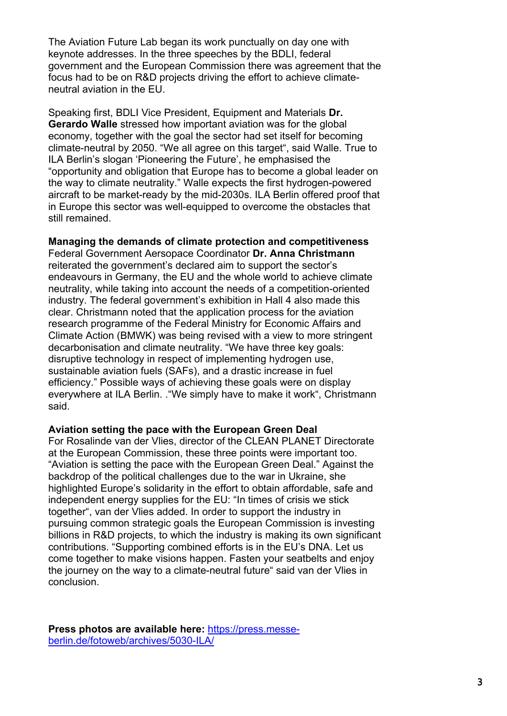The Aviation Future Lab began its work punctually on day one with keynote addresses. In the three speeches by the BDLI, federal government and the European Commission there was agreement that the focus had to be on R&D projects driving the effort to achieve climateneutral aviation in the EU.

Speaking first, BDLI Vice President, Equipment and Materials **Dr. Gerardo Walle** stressed how important aviation was for the global economy, together with the goal the sector had set itself for becoming climate-neutral by 2050. "We all agree on this target", said Walle. True to ILA Berlin's slogan 'Pioneering the Future', he emphasised the "opportunity and obligation that Europe has to become a global leader on the way to climate neutrality." Walle expects the first hydrogen-powered aircraft to be market-ready by the mid-2030s. ILA Berlin offered proof that in Europe this sector was well-equipped to overcome the obstacles that still remained.

# **Managing the demands of climate protection and competitiveness**

Federal Government Aersopace Coordinator **Dr. Anna Christmann** reiterated the government's declared aim to support the sector's endeavours in Germany, the EU and the whole world to achieve climate neutrality, while taking into account the needs of a competition-oriented industry. The federal government's exhibition in Hall 4 also made this clear. Christmann noted that the application process for the aviation research programme of the Federal Ministry for Economic Affairs and Climate Action (BMWK) was being revised with a view to more stringent decarbonisation and climate neutrality. "We have three key goals: disruptive technology in respect of implementing hydrogen use, sustainable aviation fuels (SAFs), and a drastic increase in fuel efficiency." Possible ways of achieving these goals were on display everywhere at ILA Berlin. ."We simply have to make it work", Christmann said.

# **Aviation setting the pace with the European Green Deal**

For Rosalinde van der Vlies, director of the CLEAN PLANET Directorate at the European Commission, these three points were important too. "Aviation is setting the pace with the European Green Deal." Against the backdrop of the political challenges due to the war in Ukraine, she highlighted Europe's solidarity in the effort to obtain affordable, safe and independent energy supplies for the EU: "In times of crisis we stick together", van der Vlies added. In order to support the industry in pursuing common strategic goals the European Commission is investing billions in R&D projects, to which the industry is making its own significant contributions. "Supporting combined efforts is in the EU's DNA. Let us come together to make visions happen. Fasten your seatbelts and enjoy the journey on the way to a climate-neutral future" said van der Vlies in conclusion.

**Press photos are available here:** [https://press.messe](https://press.messe-berlin.de/fotoweb/archives/5030-ILA/)[berlin.de/fotoweb/archives/5030-ILA/](https://press.messe-berlin.de/fotoweb/archives/5030-ILA/)